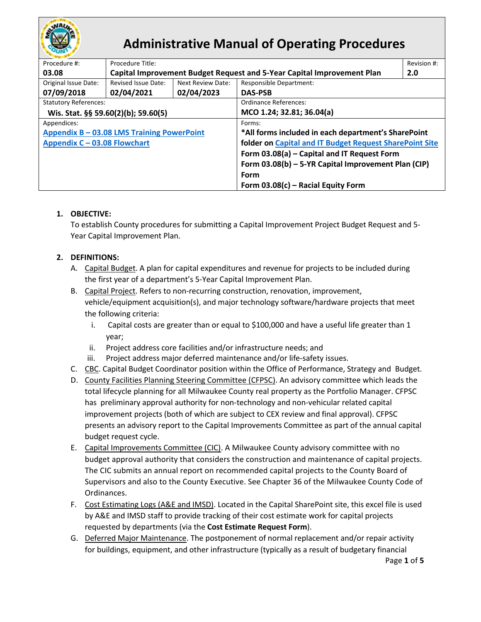

# **Administrative Manual of Operating Procedures**

| Procedure #:                               | Procedure Title:                                                       |                                                     |                                                         | Revision #: |  |  |  |  |
|--------------------------------------------|------------------------------------------------------------------------|-----------------------------------------------------|---------------------------------------------------------|-------------|--|--|--|--|
| 03.08                                      | Capital Improvement Budget Request and 5-Year Capital Improvement Plan |                                                     |                                                         |             |  |  |  |  |
| Original Issue Date:                       | Revised Issue Date:                                                    | Next Review Date:                                   | <b>Responsible Department:</b>                          |             |  |  |  |  |
| 07/09/2018                                 | 02/04/2021                                                             | 02/04/2023                                          | <b>DAS-PSB</b>                                          |             |  |  |  |  |
| <b>Statutory References:</b>               |                                                                        |                                                     | Ordinance References:                                   |             |  |  |  |  |
| Wis. Stat. §§ 59.60(2)(b); 59.60(5)        |                                                                        |                                                     | MCO 1.24; 32.81; 36.04(a)                               |             |  |  |  |  |
| Appendices:                                |                                                                        |                                                     | Forms:                                                  |             |  |  |  |  |
| Appendix B - 03.08 LMS Training PowerPoint |                                                                        |                                                     | *All forms included in each department's SharePoint     |             |  |  |  |  |
| Appendix C - 03.08 Flowchart               |                                                                        |                                                     | folder on Capital and IT Budget Request SharePoint Site |             |  |  |  |  |
|                                            |                                                                        |                                                     | Form 03.08(a) - Capital and IT Request Form             |             |  |  |  |  |
|                                            |                                                                        | Form 03.08(b) - 5-YR Capital Improvement Plan (CIP) |                                                         |             |  |  |  |  |
|                                            |                                                                        |                                                     | Form                                                    |             |  |  |  |  |
|                                            |                                                                        |                                                     | Form $03.08(c)$ – Racial Equity Form                    |             |  |  |  |  |

# **1. OBJECTIVE:**

To establish County procedures for submitting a Capital Improvement Project Budget Request and 5- Year Capital Improvement Plan.

# **2. DEFINITIONS:**

- A. Capital Budget. A plan for capital expenditures and revenue for projects to be included during the first year of a department's 5-Year Capital Improvement Plan.
- B. Capital Project. Refers to non-recurring construction, renovation, improvement, vehicle/equipment acquisition(s), and major technology software/hardware projects that meet the following criteria:
	- i. Capital costs are greater than or equal to \$100,000 and have a useful life greater than 1 year;
	- ii. Project address core facilities and/or infrastructure needs; and
	- iii. Project address major deferred maintenance and/or life-safety issues.
- C. CBC. Capital Budget Coordinator position within the Office of Performance, Strategy and Budget.
- D. County Facilities Planning Steering Committee (CFPSC). An advisory committee which leads the total lifecycle planning for all Milwaukee County real property as the Portfolio Manager. CFPSC has preliminary approval authority for non-technology and non-vehicular related capital improvement projects (both of which are subject to CEX review and final approval). CFPSC presents an advisory report to the Capital Improvements Committee as part of the annual capital budget request cycle.
- E. Capital Improvements Committee (CIC). A Milwaukee County advisory committee with no budget approval authority that considers the construction and maintenance of capital projects. The CIC submits an annual report on recommended capital projects to the County Board of Supervisors and also to the County Executive. See Chapter 36 of the Milwaukee County Code of Ordinances.
- F. Cost Estimating Logs (A&E and IMSD). Located in the Capital SharePoint site, this excel file is used by A&E and IMSD staff to provide tracking of their cost estimate work for capital projects requested by departments (via the **Cost Estimate Request Form**).
- G. Deferred Major Maintenance. The postponement of normal replacement and/or repair activity for buildings, equipment, and other infrastructure (typically as a result of budgetary financial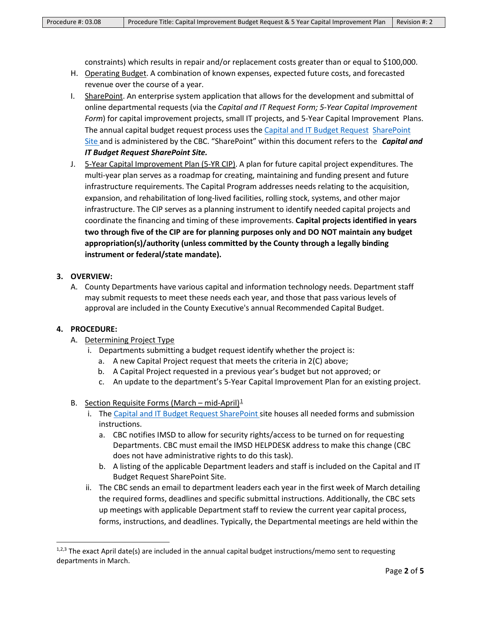constraints) which results in repair and/or replacement costs greater than or equal to \$100,000.

- H. Operating Budget. A combination of known expenses, expected future costs, and forecasted revenue over the course of a year.
- I. SharePoint. An enterprise system application that allows for the development and submittal of online departmental requests (via the *Capital and IT Request Form; 5-Year Capital Improvement Form*) for capital improvement projects, small IT projects, and 5-Year Capital Improvement Plans. The annual capital budget request process uses the Capital and IT Budget [Request](https://milwaukeecountywi.sharepoint.com/sites/external/capitalrequests/SitePages/Home.aspx) [SharePoint](https://milwaukeecountywi.sharepoint.com/sites/external/capitalrequests/SitePages/Home.aspx) [Site](https://milwaukeecountywi.sharepoint.com/sites/external/capitalrequests/SitePages/Home.aspx) and is administered by the CBC. "SharePoint" within this document refers to the *Capital and IT Budget Request SharePoint Site.*
- J. 5-Year Capital Improvement Plan (5-YR CIP). A plan for future capital project expenditures. The multi-year plan serves as a roadmap for creating, maintaining and funding present and future infrastructure requirements. The Capital Program addresses needs relating to the acquisition, expansion, and rehabilitation of long-lived facilities, rolling stock, systems, and other major infrastructure. The CIP serves as a planning instrument to identify needed capital projects and coordinate the financing and timing of these improvements. **Capital projects identified in years two through five of the CIP are for planning purposes only and DO NOT maintain any budget appropriation(s)/authority (unless committed by the County through a legally binding instrument or federal/state mandate).**

#### **3. OVERVIEW:**

A. County Departments have various capital and information technology needs. Department staff may submit requests to meet these needs each year, and those that pass various levels of approval are included in the County Executive's annual Recommended Capital Budget.

## **4. PROCEDURE:**

- A. Determining Project Type
	- i. Departments submitting a budget request identify whether the project is:
		- a. A new Capital Project request that meets the criteria in 2(C) above;
		- b. A Capital Project requested in a previous year's budget but not approved; or
		- c. An update to the department's 5-Year Capital Improvement Plan for an existing project.
- B. Section Requisite Forms (March mid-April) $\frac{1}{2}$  $\frac{1}{2}$  $\frac{1}{2}$ 
	- i. The [Capital and IT Budget Request SharePoint s](https://milwaukeecountywi.sharepoint.com/sites/external/capitalrequests/SitePages/Home.aspx)ite houses all needed forms and submission instructions.
		- a. CBC notifies IMSD to allow for security rights/access to be turned on for requesting Departments. CBC must email the IMSD HELPDESK address to make this change (CBC does not have administrative rights to do this task).
		- b. A listing of the applicable Department leaders and staff is included on the Capital and IT Budget Request SharePoint Site.
	- ii. The CBC sends an email to department leaders each year in the first week of March detailing the required forms, deadlines and specific submittal instructions. Additionally, the CBC sets up meetings with applicable Department staff to review the current year capital process, forms, instructions, and deadlines. Typically, the Departmental meetings are held within the

<span id="page-1-0"></span><sup>1,2,3</sup> The exact April date(s) are included in the annual capital budget instructions/memo sent to requesting departments in March.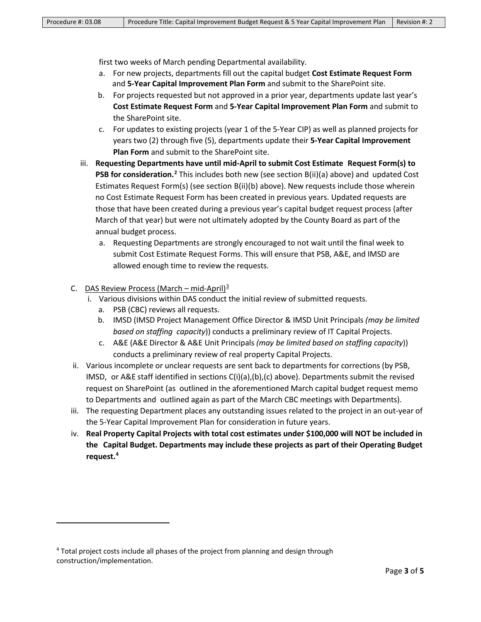first two weeks of March pending Departmental availability.

- a. For new projects, departments fill out the capital budget **Cost Estimate Request Form** and **5-Year Capital Improvement Plan Form** and submit to the SharePoint site.
- b. For projects requested but not approved in a prior year, departments update last year's **Cost Estimate Request Form** and **5-Year Capital Improvement Plan Form** and submit to the SharePoint site.
- c. For updates to existing projects (year 1 of the 5-Year CIP) as well as planned projects for years two (2) through five (5), departments update their **5-Year Capital Improvement Plan Form** and submit to the SharePoint site.
- iii. **Requesting Departments have until mid-April to submit Cost Estimate Request Form(s) to PSB for consideration.[2](#page-2-0)** This includes both new (see section B(ii)(a) above) and updated Cost Estimates Request Form(s) (see section B(ii)(b) above). New requests include those wherein no Cost Estimate Request Form has been created in previous years. Updated requests are those that have been created during a previous year's capital budget request process (after March of that year) but were not ultimately adopted by the County Board as part of the annual budget process.
	- a. Requesting Departments are strongly encouraged to not wait until the final week to submit Cost Estimate Request Forms. This will ensure that PSB, A&E, and IMSD are allowed enough time to review the requests.

#### C. DAS Review Process (March – mid-April) $\frac{3}{2}$  $\frac{3}{2}$  $\frac{3}{2}$

- i. Various divisions within DAS conduct the initial review of submitted requests.
	- a. PSB (CBC) reviews all requests.
	- b. IMSD (IMSD Project Management Office Director & IMSD Unit Principals *(may be limited based on staffing capacity*)) conducts a preliminary review of IT Capital Projects.
	- c. A&E (A&E Director & A&E Unit Principals *(may be limited based on staffing capacity*)) conducts a preliminary review of real property Capital Projects.
- ii. Various incomplete or unclear requests are sent back to departments for corrections (by PSB, IMSD, or A&E staff identified in sections C(i)(a),(b),(c) above). Departments submit the revised request on SharePoint (as outlined in the aforementioned March capital budget request memo to Departments and outlined again as part of the March CBC meetings with Departments).
- iii. The requesting Department places any outstanding issues related to the project in an out-year of the 5-Year Capital Improvement Plan for consideration in future years.
- iv. **Real Property Capital Projects with total cost estimates under \$100,000 will NOT be included in the Capital Budget. Departments may include these projects as part of their Operating Budget request.[4](#page-2-2)**

<span id="page-2-2"></span><span id="page-2-1"></span><span id="page-2-0"></span><sup>4</sup> Total project costs include all phases of the project from planning and design through construction/implementation.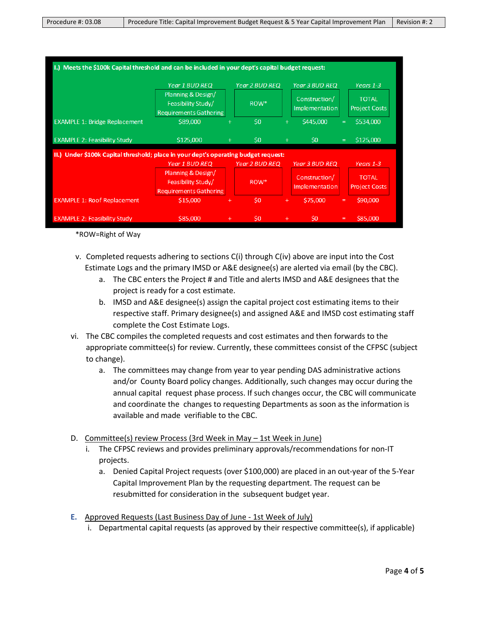| I.) Meets the \$100k Capital threshold and can be included in your dept's capital budget request: |                                                                           |           |                       |     |                                        |   |                                      |  |  |
|---------------------------------------------------------------------------------------------------|---------------------------------------------------------------------------|-----------|-----------------------|-----|----------------------------------------|---|--------------------------------------|--|--|
|                                                                                                   | <b>Year 1 BUD REQ</b>                                                     |           | <b>Year 2 BUD REQ</b> |     | <b>Year 3 BUD REQ</b>                  |   | Years 1-3                            |  |  |
|                                                                                                   | Planning & Design/<br>Feasibility Study/<br><b>Requirements Gathering</b> |           | ROW*                  |     | Construction/<br><b>Implementation</b> |   | <b>TOTAL</b><br><b>Project Costs</b> |  |  |
| <b>EXAMPLE 1: Bridge Replacement</b>                                                              | \$89,000                                                                  | $^{+}$    | \$0                   | $+$ | \$445,000                              | Ξ | \$534,000                            |  |  |
| <b>EXAMPLE 2: Feasibility Study</b>                                                               | \$125,000                                                                 | $+$       | \$0                   | $+$ | $\mathsf{S}0$                          | Ξ | \$125,000                            |  |  |
| II.) Under \$100k Capital threshold; place in your dept's operating budget request:               |                                                                           |           |                       |     |                                        |   |                                      |  |  |
|                                                                                                   | Year 1 BUD REQ                                                            |           | <b>Year 2 BUD REQ</b> |     | <b>Year 3 BUD REQ</b>                  |   | Years 1-3                            |  |  |
|                                                                                                   | Planning & Design/<br>Feasibility Study/<br><b>Requirements Gathering</b> |           | ROW*                  |     | Construction/<br>Implementation        |   | <b>TOTAL</b><br><b>Project Costs</b> |  |  |
| <b>EXAMPLE 1: Roof Replacement</b>                                                                | \$15,000                                                                  | $\ddot{}$ | \$0                   | $+$ | \$75,000                               | Ξ | \$90,000                             |  |  |
| <b>EXAMPLE 2: Feasibility Study</b>                                                               | \$85,000                                                                  | $\ddot{}$ | S <sub>0</sub>        | $+$ | \$0                                    | Ξ | \$85,000                             |  |  |

\*ROW=Right of Way

- v. Completed requests adhering to sections C(i) through C(iv) above are input into the Cost Estimate Logs and the primary IMSD or A&E designee(s) are alerted via email (by the CBC).
	- a. The CBC enters the Project # and Title and alerts IMSD and A&E designees that the project is ready for a cost estimate.
	- b. IMSD and A&E designee(s) assign the capital project cost estimating items to their respective staff. Primary designee(s) and assigned A&E and IMSD cost estimating staff complete the Cost Estimate Logs.
- vi. The CBC compiles the completed requests and cost estimates and then forwards to the appropriate committee(s) for review. Currently, these committees consist of the CFPSC (subject to change).
	- a. The committees may change from year to year pending DAS administrative actions and/or County Board policy changes. Additionally, such changes may occur during the annual capital request phase process. If such changes occur, the CBC will communicate and coordinate the changes to requesting Departments as soon as the information is available and made verifiable to the CBC.
- D. Committee(s) review Process (3rd Week in May 1st Week in June)
	- i. The CFPSC reviews and provides preliminary approvals/recommendations for non-IT projects.
		- a. Denied Capital Project requests (over \$100,000) are placed in an out-year of the 5-Year Capital Improvement Plan by the requesting department. The request can be resubmitted for consideration in the subsequent budget year.
- **E.** Approved Requests (Last Business Day of June 1st Week of July)
	- i. Departmental capital requests (as approved by their respective committee(s), if applicable)